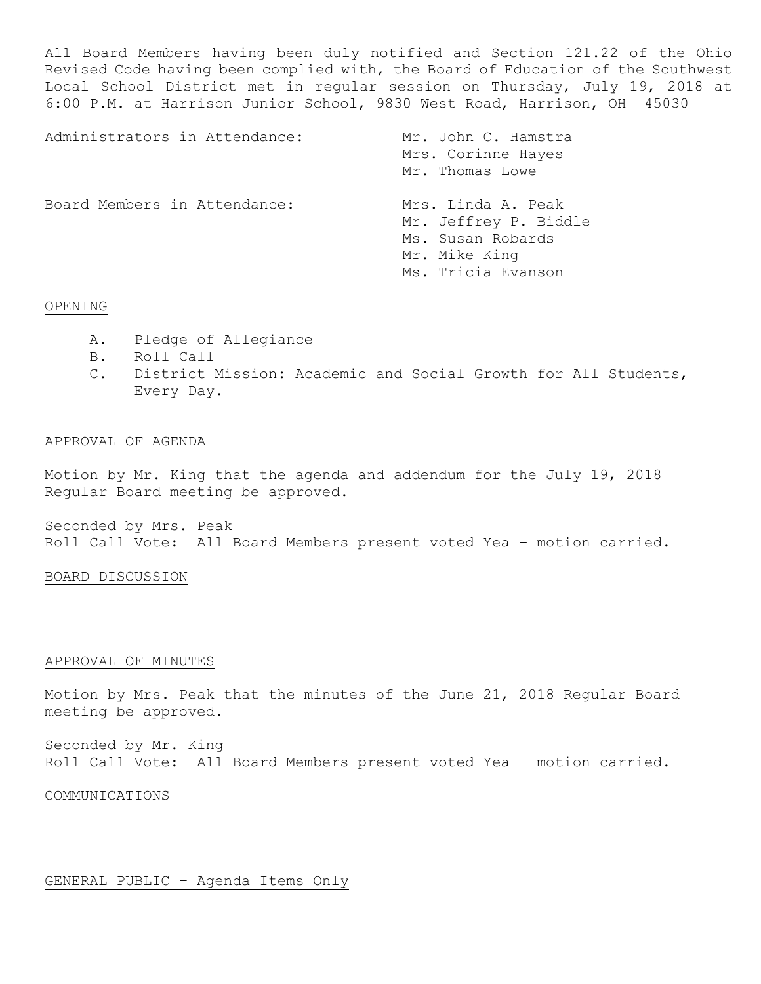All Board Members having been duly notified and Section 121.22 of the Ohio Revised Code having been complied with, the Board of Education of the Southwest Local School District met in regular session on Thursday, July 19, 2018 at 6:00 P.M. at Harrison Junior School, 9830 West Road, Harrison, OH 45030

| Administrators in Attendance: | Mr. John C. Hamstra<br>Mrs. Corinne Hayes<br>Mr. Thomas Lowe                                            |
|-------------------------------|---------------------------------------------------------------------------------------------------------|
| Board Members in Attendance:  | Mrs. Linda A. Peak<br>Mr. Jeffrey P. Biddle<br>Ms. Susan Robards<br>Mr. Mike King<br>Ms. Tricia Evanson |

# OPENING

- A. Pledge of Allegiance
- B. Roll Call
- C. District Mission: Academic and Social Growth for All Students, Every Day.

## APPROVAL OF AGENDA

Motion by Mr. King that the agenda and addendum for the July 19, 2018 Regular Board meeting be approved.

Seconded by Mrs. Peak Roll Call Vote: All Board Members present voted Yea – motion carried.

# BOARD DISCUSSION

#### APPROVAL OF MINUTES

Motion by Mrs. Peak that the minutes of the June 21, 2018 Regular Board meeting be approved.

Seconded by Mr. King Roll Call Vote: All Board Members present voted Yea – motion carried.

#### COMMUNICATIONS

# GENERAL PUBLIC – Agenda Items Only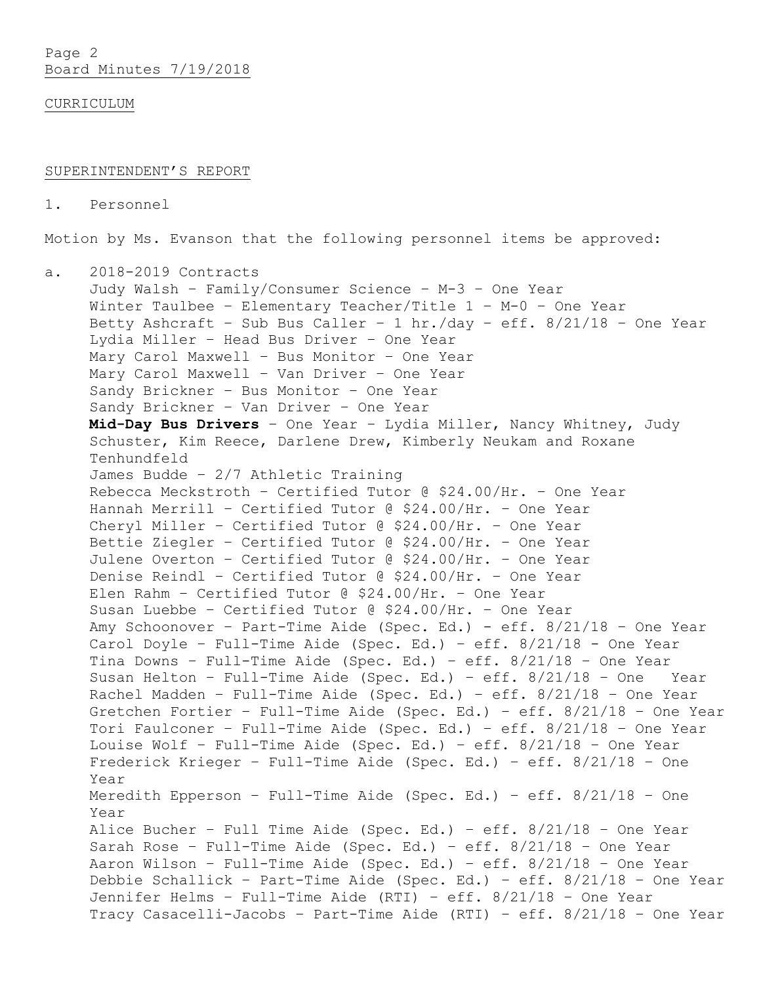Page 2 Board Minutes 7/19/2018

CURRICULUM

#### SUPERINTENDENT'S REPORT

1. Personnel

Motion by Ms. Evanson that the following personnel items be approved:

a. 2018-2019 Contracts Judy Walsh – Family/Consumer Science – M-3 – One Year Winter Taulbee – Elementary Teacher/Title 1 – M-0 – One Year Betty Ashcraft – Sub Bus Caller – 1 hr./day – eff. 8/21/18 – One Year Lydia Miller – Head Bus Driver – One Year Mary Carol Maxwell – Bus Monitor – One Year Mary Carol Maxwell – Van Driver – One Year Sandy Brickner – Bus Monitor – One Year Sandy Brickner – Van Driver – One Year **Mid-Day Bus Drivers** – One Year – Lydia Miller, Nancy Whitney, Judy Schuster, Kim Reece, Darlene Drew, Kimberly Neukam and Roxane Tenhundfeld James Budde – 2/7 Athletic Training Rebecca Meckstroth – Certified Tutor @ \$24.00/Hr. – One Year Hannah Merrill – Certified Tutor @ \$24.00/Hr. – One Year Cheryl Miller – Certified Tutor @ \$24.00/Hr. – One Year Bettie Ziegler – Certified Tutor @ \$24.00/Hr. – One Year Julene Overton – Certified Tutor @ \$24.00/Hr. – One Year Denise Reindl – Certified Tutor @ \$24.00/Hr. – One Year Elen Rahm – Certified Tutor @ \$24.00/Hr. – One Year Susan Luebbe – Certified Tutor @ \$24.00/Hr. – One Year Amy Schoonover – Part-Time Aide (Spec. Ed.) - eff. 8/21/18 – One Year Carol Doyle – Full-Time Aide (Spec. Ed.) – eff. 8/21/18 - One Year Tina Downs – Full-Time Aide (Spec. Ed.) – eff. 8/21/18 – One Year Susan Helton – Full-Time Aide (Spec. Ed.) – eff. 8/21/18 – One Year Rachel Madden – Full-Time Aide (Spec. Ed.) – eff. 8/21/18 – One Year Gretchen Fortier – Full-Time Aide (Spec. Ed.) – eff. 8/21/18 – One Year Tori Faulconer – Full-Time Aide (Spec. Ed.) – eff. 8/21/18 – One Year Louise Wolf – Full-Time Aide (Spec. Ed.) – eff. 8/21/18 – One Year Frederick Krieger – Full-Time Aide (Spec. Ed.) – eff. 8/21/18 – One Year Meredith Epperson – Full-Time Aide (Spec. Ed.) – eff. 8/21/18 – One Year Alice Bucher – Full Time Aide (Spec. Ed.) – eff. 8/21/18 – One Year Sarah Rose – Full-Time Aide (Spec. Ed.) – eff. 8/21/18 – One Year Aaron Wilson – Full-Time Aide (Spec. Ed.) – eff. 8/21/18 – One Year Debbie Schallick – Part-Time Aide (Spec. Ed.) – eff. 8/21/18 – One Year Jennifer Helms – Full-Time Aide (RTI) – eff. 8/21/18 – One Year Tracy Casacelli-Jacobs – Part-Time Aide (RTI) – eff. 8/21/18 – One Year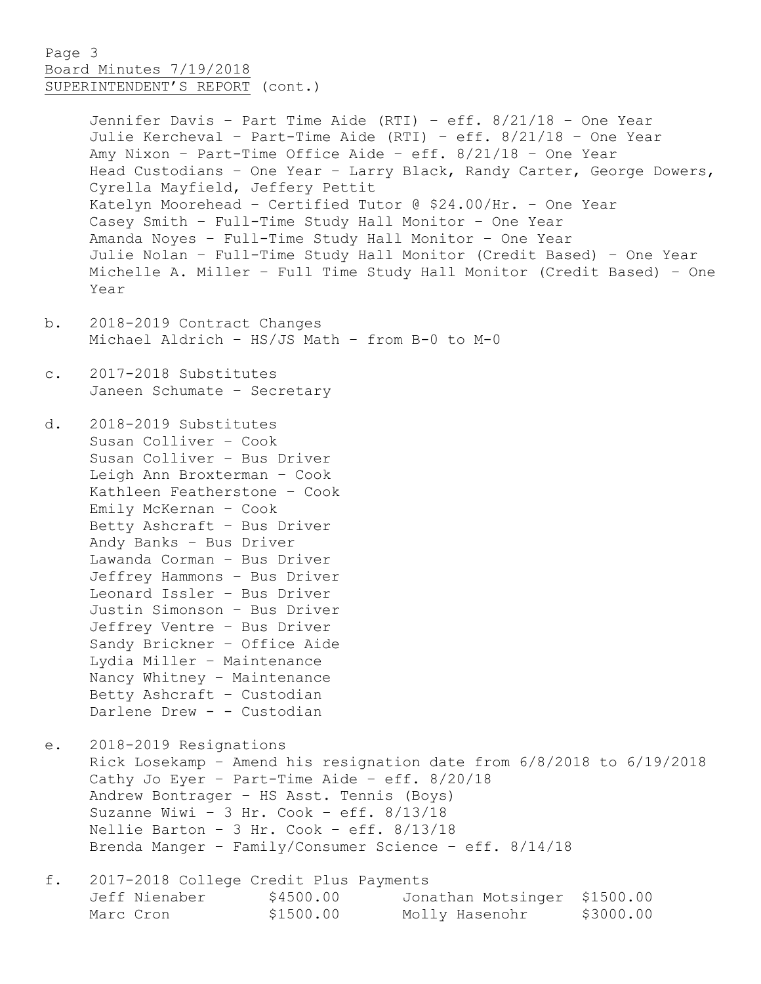# Page 3 Board Minutes 7/19/2018 SUPERINTENDENT'S REPORT (cont.)

Jennifer Davis – Part Time Aide (RTI) – eff. 8/21/18 – One Year Julie Kercheval – Part-Time Aide (RTI) – eff. 8/21/18 – One Year Amy Nixon – Part-Time Office Aide – eff. 8/21/18 – One Year Head Custodians – One Year – Larry Black, Randy Carter, George Dowers, Cyrella Mayfield, Jeffery Pettit Katelyn Moorehead – Certified Tutor @ \$24.00/Hr. – One Year Casey Smith – Full-Time Study Hall Monitor – One Year Amanda Noyes – Full-Time Study Hall Monitor – One Year Julie Nolan – Full-Time Study Hall Monitor (Credit Based) – One Year Michelle A. Miller – Full Time Study Hall Monitor (Credit Based) – One Year

- b. 2018-2019 Contract Changes Michael Aldrich – HS/JS Math – from B-0 to M-0
- c. 2017-2018 Substitutes Janeen Schumate – Secretary

d. 2018-2019 Substitutes Susan Colliver – Cook Susan Colliver – Bus Driver Leigh Ann Broxterman – Cook Kathleen Featherstone – Cook Emily McKernan – Cook Betty Ashcraft – Bus Driver Andy Banks – Bus Driver Lawanda Corman – Bus Driver Jeffrey Hammons – Bus Driver Leonard Issler – Bus Driver Justin Simonson – Bus Driver Jeffrey Ventre – Bus Driver Sandy Brickner – Office Aide Lydia Miller – Maintenance Nancy Whitney – Maintenance Betty Ashcraft – Custodian Darlene Drew - - Custodian

e. 2018-2019 Resignations Rick Losekamp – Amend his resignation date from 6/8/2018 to 6/19/2018 Cathy Jo Eyer – Part-Time Aide – eff. 8/20/18 Andrew Bontrager – HS Asst. Tennis (Boys) Suzanne Wiwi – 3 Hr. Cook – eff. 8/13/18 Nellie Barton – 3 Hr. Cook – eff. 8/13/18 Brenda Manger – Family/Consumer Science – eff. 8/14/18

f. 2017-2018 College Credit Plus Payments Jeff Nienaber  $$4500.00$  Jonathan Motsinger \$1500.00 Marc Cron  $$1500.00$  Molly Hasenohr \$3000.00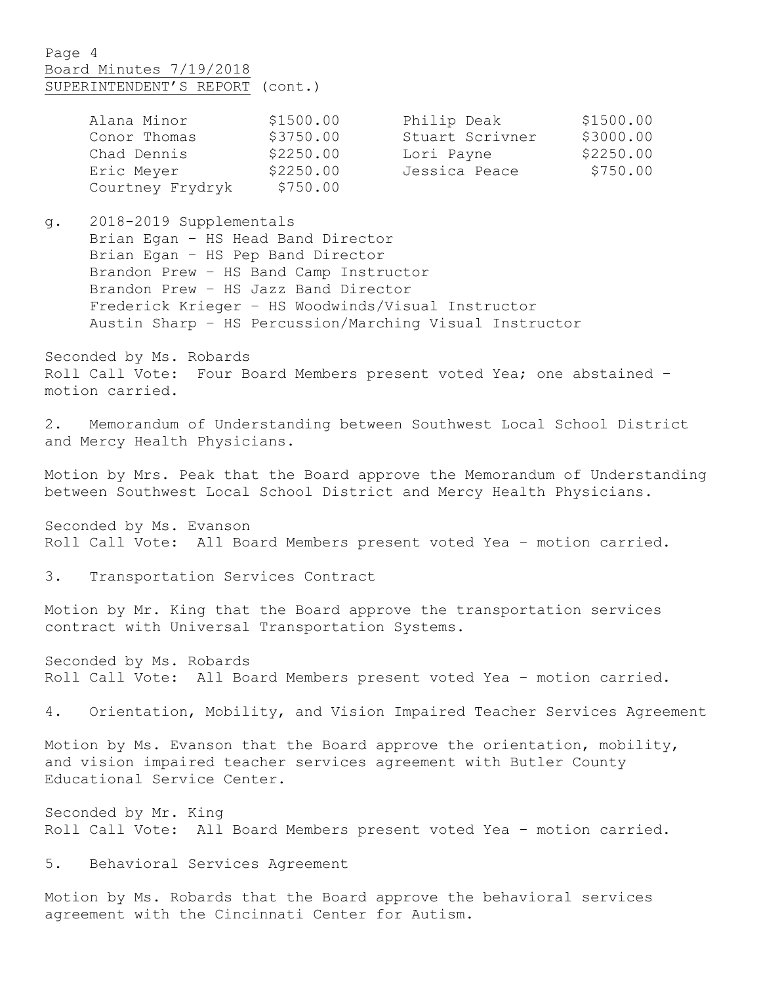# Page 4 Board Minutes 7/19/2018 SUPERINTENDENT'S REPORT (cont.)

| Alana Minor      | \$1500.00 | Philip Deak     | \$1500.00 |
|------------------|-----------|-----------------|-----------|
| Conor Thomas     | \$3750.00 | Stuart Scrivner | \$3000.00 |
| Chad Dennis      | \$2250.00 | Lori Payne      | \$2250.00 |
| Eric Meyer       | \$2250.00 | Jessica Peace   | \$750.00  |
| Courtney Frydryk | \$750.00  |                 |           |

g. 2018-2019 Supplementals Brian Egan – HS Head Band Director Brian Egan – HS Pep Band Director Brandon Prew – HS Band Camp Instructor Brandon Prew – HS Jazz Band Director Frederick Krieger – HS Woodwinds/Visual Instructor Austin Sharp – HS Percussion/Marching Visual Instructor

Seconded by Ms. Robards Roll Call Vote: Four Board Members present voted Yea; one abstained – motion carried.

2. Memorandum of Understanding between Southwest Local School District and Mercy Health Physicians.

Motion by Mrs. Peak that the Board approve the Memorandum of Understanding between Southwest Local School District and Mercy Health Physicians.

Seconded by Ms. Evanson Roll Call Vote: All Board Members present voted Yea – motion carried.

3. Transportation Services Contract

Motion by Mr. King that the Board approve the transportation services contract with Universal Transportation Systems.

Seconded by Ms. Robards Roll Call Vote: All Board Members present voted Yea – motion carried.

4. Orientation, Mobility, and Vision Impaired Teacher Services Agreement

Motion by Ms. Evanson that the Board approve the orientation, mobility, and vision impaired teacher services agreement with Butler County Educational Service Center.

Seconded by Mr. King Roll Call Vote: All Board Members present voted Yea – motion carried.

5. Behavioral Services Agreement

Motion by Ms. Robards that the Board approve the behavioral services agreement with the Cincinnati Center for Autism.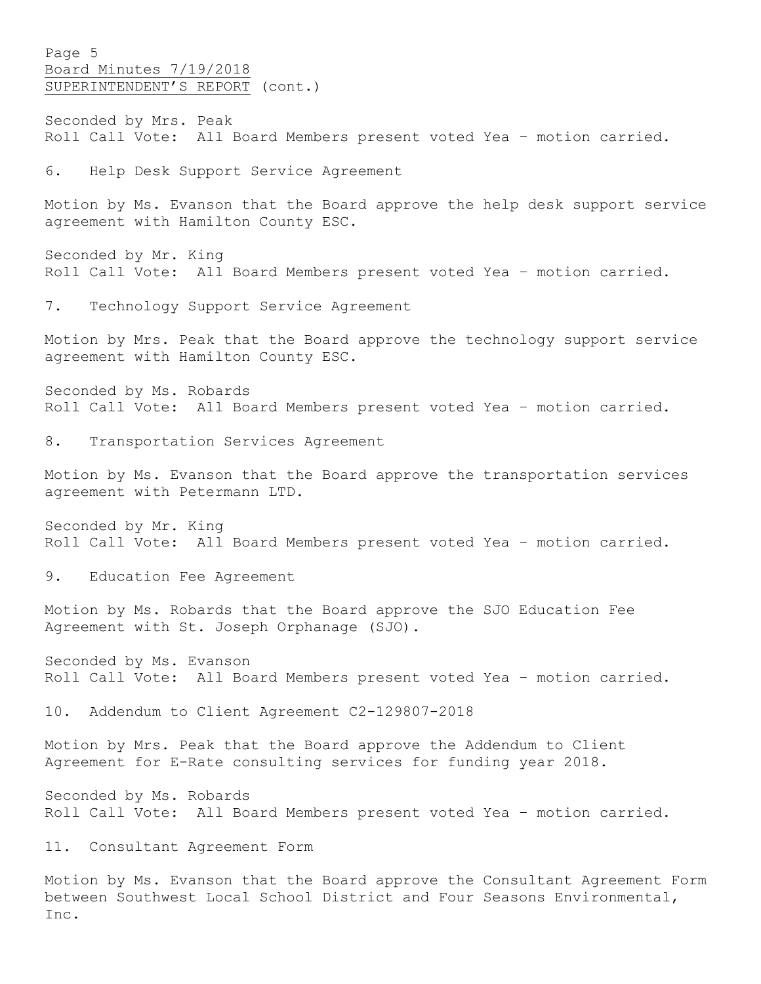Page 5 Board Minutes 7/19/2018 SUPERINTENDENT'S REPORT (cont.)

Seconded by Mrs. Peak Roll Call Vote: All Board Members present voted Yea – motion carried.

6. Help Desk Support Service Agreement

Motion by Ms. Evanson that the Board approve the help desk support service agreement with Hamilton County ESC.

Seconded by Mr. King Roll Call Vote: All Board Members present voted Yea – motion carried.

7. Technology Support Service Agreement

Motion by Mrs. Peak that the Board approve the technology support service agreement with Hamilton County ESC.

Seconded by Ms. Robards Roll Call Vote: All Board Members present voted Yea – motion carried.

8. Transportation Services Agreement

Motion by Ms. Evanson that the Board approve the transportation services agreement with Petermann LTD.

Seconded by Mr. King Roll Call Vote: All Board Members present voted Yea – motion carried.

9. Education Fee Agreement

Motion by Ms. Robards that the Board approve the SJO Education Fee Agreement with St. Joseph Orphanage (SJO).

Seconded by Ms. Evanson Roll Call Vote: All Board Members present voted Yea – motion carried.

10. Addendum to Client Agreement C2-129807-2018

Motion by Mrs. Peak that the Board approve the Addendum to Client Agreement for E-Rate consulting services for funding year 2018.

Seconded by Ms. Robards Roll Call Vote: All Board Members present voted Yea – motion carried.

11. Consultant Agreement Form

Motion by Ms. Evanson that the Board approve the Consultant Agreement Form between Southwest Local School District and Four Seasons Environmental, Inc.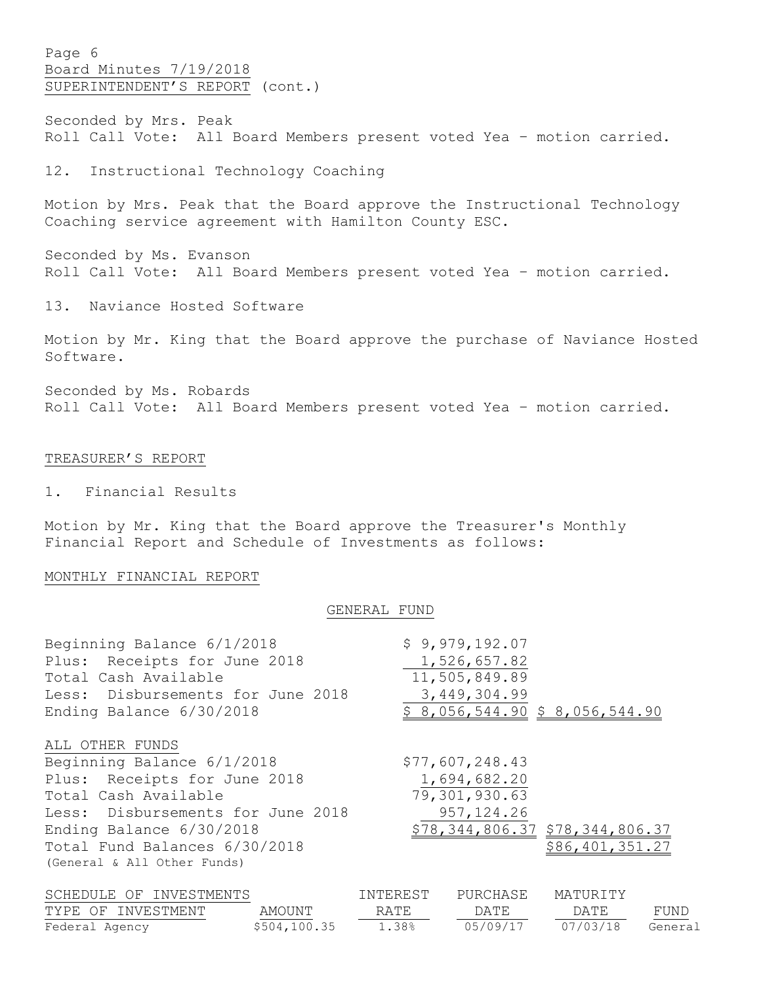Page 6 Board Minutes 7/19/2018 SUPERINTENDENT'S REPORT (cont.)

Seconded by Mrs. Peak Roll Call Vote: All Board Members present voted Yea – motion carried.

12. Instructional Technology Coaching

Motion by Mrs. Peak that the Board approve the Instructional Technology Coaching service agreement with Hamilton County ESC.

Seconded by Ms. Evanson Roll Call Vote: All Board Members present voted Yea – motion carried.

13. Naviance Hosted Software

Motion by Mr. King that the Board approve the purchase of Naviance Hosted Software.

Seconded by Ms. Robards Roll Call Vote: All Board Members present voted Yea – motion carried.

# TREASURER'S REPORT

1. Financial Results

Motion by Mr. King that the Board approve the Treasurer's Monthly Financial Report and Schedule of Investments as follows:

# MONTHLY FINANCIAL REPORT

#### GENERAL FUND

| Beginning Balance 6/1/2018        |        |          | \$9,979,192.07  |                                 |      |
|-----------------------------------|--------|----------|-----------------|---------------------------------|------|
| Plus: Receipts for June 2018      |        |          | 1,526,657.82    |                                 |      |
| Total Cash Available              |        |          | 11,505,849.89   |                                 |      |
| Less: Disbursements for June 2018 |        |          | 3,449,304.99    |                                 |      |
| Ending Balance 6/30/2018          |        |          |                 | \$8,056,544.90 \$8,056,544.90   |      |
| ALL OTHER FUNDS                   |        |          |                 |                                 |      |
| Beginning Balance 6/1/2018        |        |          | \$77,607,248.43 |                                 |      |
| Plus: Receipts for June 2018      |        |          | 1,694,682.20    |                                 |      |
| Total Cash Available              |        |          | 79,301,930.63   |                                 |      |
| Less: Disbursements for June 2018 |        |          | 957, 124.26     |                                 |      |
| Ending Balance 6/30/2018          |        |          |                 | \$78,344,806.37 \$78,344,806.37 |      |
| Total Fund Balances 6/30/2018     |        |          |                 | \$86,401,351.27                 |      |
| (General & All Other Funds)       |        |          |                 |                                 |      |
| SCHEDULE OF INVESTMENTS           |        | INTEREST | PURCHASE        | MATURITY                        |      |
| TYPE OF INVESTMENT                | AMOUNT | RATE     | DATE            | DATE                            | FUND |

Federal Agency \$504,100.35 1.38% 05/09/17 07/03/18 General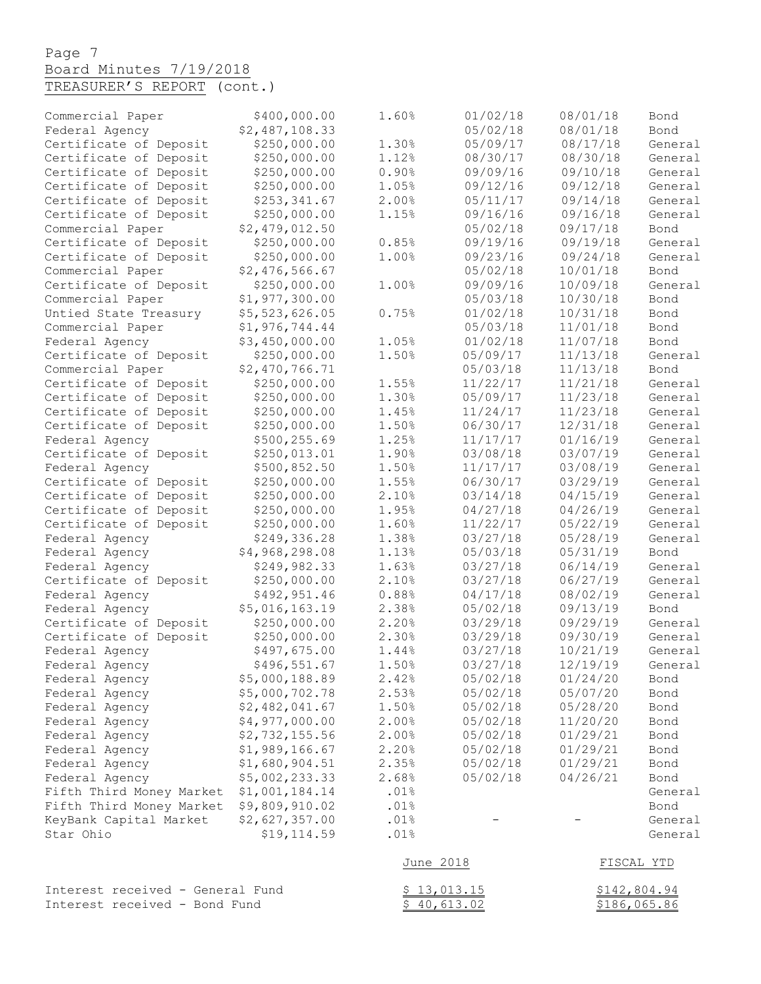# Page 7 Board Minutes 7/19/2018

| TREASURER'S REPORT (cont.) |  |
|----------------------------|--|
|----------------------------|--|

| Commercial Paper                                   | \$400,000.00                                 | 1.60%        | 01/02/18 | 08/01/18     | Bond            |
|----------------------------------------------------|----------------------------------------------|--------------|----------|--------------|-----------------|
| Federal Agency                                     | \$2,487,108.33                               |              | 05/02/18 | 08/01/18     | Bond            |
| Certificate of Deposit                             | \$250,000.00                                 | 1.30%        | 05/09/17 | 08/17/18     | General         |
| Certificate of Deposit                             | \$250,000.00                                 | 1.12%        | 08/30/17 | 08/30/18     | General         |
| Certificate of Deposit                             | \$250,000.00                                 | 0.90%        | 09/09/16 | 09/10/18     | General         |
| Certificate of Deposit                             | \$250,000.00                                 | 1.05%        | 09/12/16 | 09/12/18     | General         |
| Certificate of Deposit                             | \$253,341.67                                 | 2.00%        | 05/11/17 | 09/14/18     | General         |
| Certificate of Deposit                             | \$250,000.00                                 | 1.15%        | 09/16/16 | 09/16/18     | General         |
| Commercial Paper                                   | \$2,479,012.50                               |              | 05/02/18 | 09/17/18     | Bond            |
| Certificate of Deposit                             | \$250,000.00                                 | 0.85%        | 09/19/16 | 09/19/18     | General         |
| Certificate of Deposit                             | \$250,000.00                                 | 1.00%        | 09/23/16 | 09/24/18     | General         |
| Commercial Paper                                   | \$2,476,566.67                               |              | 05/02/18 | 10/01/18     | Bond            |
| Certificate of Deposit                             | \$250,000.00                                 | 1.00%        | 09/09/16 | 10/09/18     | General         |
| Commercial Paper                                   | \$1,977,300.00                               |              | 05/03/18 | 10/30/18     | Bond            |
| Untied State Treasury                              | \$5,523,626.05                               | 0.75%        | 01/02/18 | 10/31/18     | Bond            |
| Commercial Paper                                   | \$1,976,744.44                               |              | 05/03/18 | 11/01/18     | Bond            |
| Federal Agency                                     | \$3,450,000.00                               | 1.05%        | 01/02/18 | 11/07/18     | Bond            |
| Certificate of Deposit                             | \$250,000.00                                 | 1.50%        | 05/09/17 | 11/13/18     | General         |
| Commercial Paper                                   | \$2,470,766.71                               |              | 05/03/18 | 11/13/18     | Bond            |
| Certificate of Deposit                             | \$250,000.00                                 | 1.55%        | 11/22/17 | 11/21/18     | General         |
| Certificate of Deposit                             | \$250,000.00                                 | 1.30%        | 05/09/17 | 11/23/18     | General         |
| Certificate of Deposit                             | \$250,000.00                                 | 1.45%        | 11/24/17 | 11/23/18     | General         |
| Certificate of Deposit                             | \$250,000.00                                 | 1.50%        | 06/30/17 | 12/31/18     | General         |
| Federal Agency                                     | \$500,255.69                                 | 1.25%        | 11/17/17 | 01/16/19     | General         |
| Certificate of Deposit                             | \$250,013.01                                 | 1.90%        | 03/08/18 | 03/07/19     | General         |
| Federal Agency                                     | \$500,852.50                                 | 1.50%        | 11/17/17 | 03/08/19     | General         |
| Certificate of Deposit                             | \$250,000.00                                 | 1.55%        | 06/30/17 | 03/29/19     | General         |
| Certificate of Deposit                             | \$250,000.00                                 | 2.10%        | 03/14/18 | 04/15/19     | General         |
| Certificate of Deposit                             | \$250,000.00                                 | 1.95%        | 04/27/18 | 04/26/19     | General         |
| Certificate of Deposit                             | \$250,000.00                                 | 1.60%        | 11/22/17 | 05/22/19     | General         |
| Federal Agency                                     | \$249,336.28                                 | 1.38%        | 03/27/18 | 05/28/19     | General         |
| Federal Agency                                     | \$4,968,298.08                               | 1.13%        | 05/03/18 | 05/31/19     | Bond            |
| Federal Agency                                     | \$249,982.33                                 | 1.63%        | 03/27/18 | 06/14/19     | General         |
| Certificate of Deposit                             | \$250,000.00                                 | 2.10%        | 03/27/18 | 06/27/19     | General         |
| Federal Agency                                     | \$492,951.46                                 | 0.88%        | 04/17/18 | 08/02/19     | General         |
| Federal Agency                                     | \$5,016,163.19                               | 2.38%        | 05/02/18 | 09/13/19     | Bond            |
| Certificate of Deposit                             | \$250,000.00                                 | 2.20%        | 03/29/18 | 09/29/19     | General         |
| Certificate of Deposit                             | \$250,000.00                                 | 2.30%        | 03/29/18 | 09/30/19     | General         |
| Federal Agency                                     | \$497,675.00                                 | 1.44%        | 03/27/18 | 10/21/19     | General         |
| Federal Agency                                     | \$496,551.67                                 | 1.50%        | 03/27/18 | 12/19/19     | General         |
| Federal Agency                                     | \$5,000,188.89                               | 2.42%        | 05/02/18 | 01/24/20     | Bond            |
| Federal Agency                                     | \$5,000,702.78                               | 2.53%        | 05/02/18 | 05/07/20     | Bond            |
| Federal Agency                                     | \$2,482,041.67                               | 1.50%        | 05/02/18 | 05/28/20     | Bond            |
| Federal Agency                                     | \$4,977,000.00                               | 2.00%        | 05/02/18 | 11/20/20     | Bond            |
| Federal Agency                                     | \$2,732,155.56                               | 2.00%        | 05/02/18 | 01/29/21     | Bond            |
| Federal Agency                                     | \$1,989,166.67                               | 2.20%        | 05/02/18 | 01/29/21     | Bond            |
| Federal Agency                                     | \$1,680,904.51                               | 2.35%        | 05/02/18 | 01/29/21     | Bond            |
| Federal Agency                                     | \$5,002,233.33                               | 2.68%        | 05/02/18 | 04/26/21     | Bond            |
| Fifth Third Money Market                           | \$1,001,184.14<br>\$9,809,910.02             | .01%<br>.01% |          |              | General         |
| Fifth Third Money Market<br>KeyBank Capital Market |                                              | .01%         |          |              | Bond<br>General |
| Star Ohio                                          | \$2,627,357.00<br>\$19,114.59                | .01%         |          |              |                 |
|                                                    |                                              |              |          |              | General         |
|                                                    |                                              | June 2018    |          |              | FISCAL YTD      |
| Interest received - General Fund                   |                                              | \$13,013.15  |          |              | \$142,804.94    |
|                                                    | Interest received - Bond Fund<br>\$40,613.02 |              |          | \$186,065.86 |                 |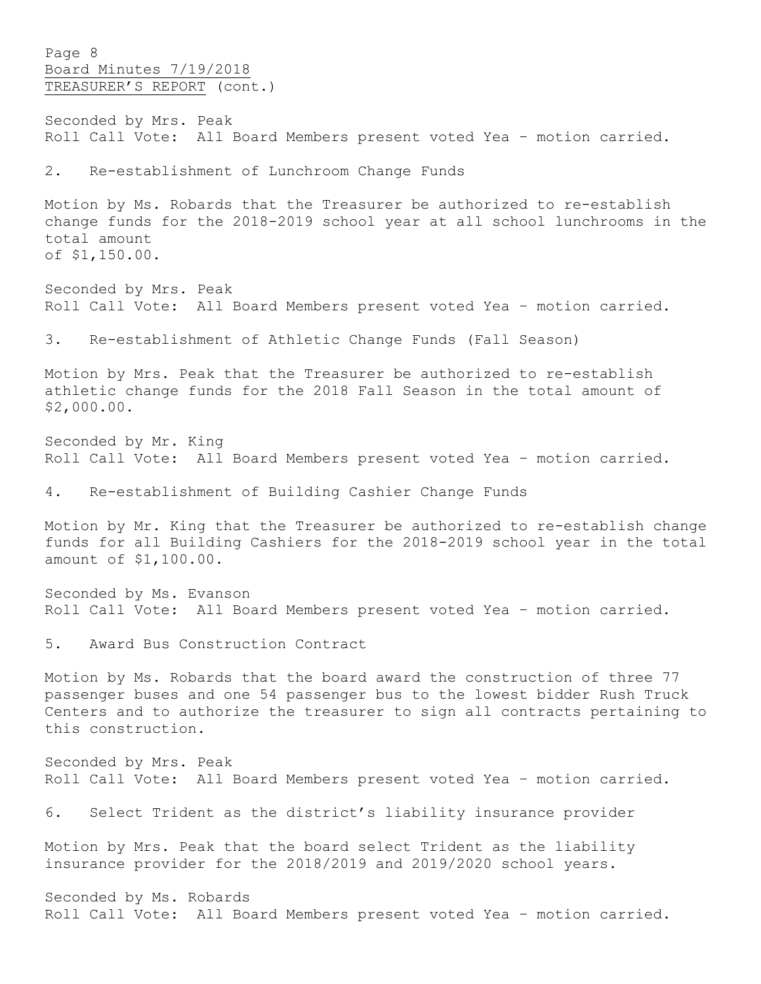Page 8 Board Minutes 7/19/2018 TREASURER'S REPORT (cont.)

Seconded by Mrs. Peak Roll Call Vote: All Board Members present voted Yea – motion carried.

2. Re-establishment of Lunchroom Change Funds

Motion by Ms. Robards that the Treasurer be authorized to re-establish change funds for the 2018-2019 school year at all school lunchrooms in the total amount of \$1,150.00.

Seconded by Mrs. Peak Roll Call Vote: All Board Members present voted Yea – motion carried.

3. Re-establishment of Athletic Change Funds (Fall Season)

Motion by Mrs. Peak that the Treasurer be authorized to re-establish athletic change funds for the 2018 Fall Season in the total amount of \$2,000.00.

Seconded by Mr. King Roll Call Vote: All Board Members present voted Yea – motion carried.

4. Re-establishment of Building Cashier Change Funds

Motion by Mr. King that the Treasurer be authorized to re-establish change funds for all Building Cashiers for the 2018-2019 school year in the total amount of \$1,100.00.

Seconded by Ms. Evanson Roll Call Vote: All Board Members present voted Yea – motion carried.

5. Award Bus Construction Contract

Motion by Ms. Robards that the board award the construction of three 77 passenger buses and one 54 passenger bus to the lowest bidder Rush Truck Centers and to authorize the treasurer to sign all contracts pertaining to this construction.

Seconded by Mrs. Peak Roll Call Vote: All Board Members present voted Yea – motion carried.

6. Select Trident as the district's liability insurance provider

Motion by Mrs. Peak that the board select Trident as the liability insurance provider for the 2018/2019 and 2019/2020 school years.

Seconded by Ms. Robards Roll Call Vote: All Board Members present voted Yea – motion carried.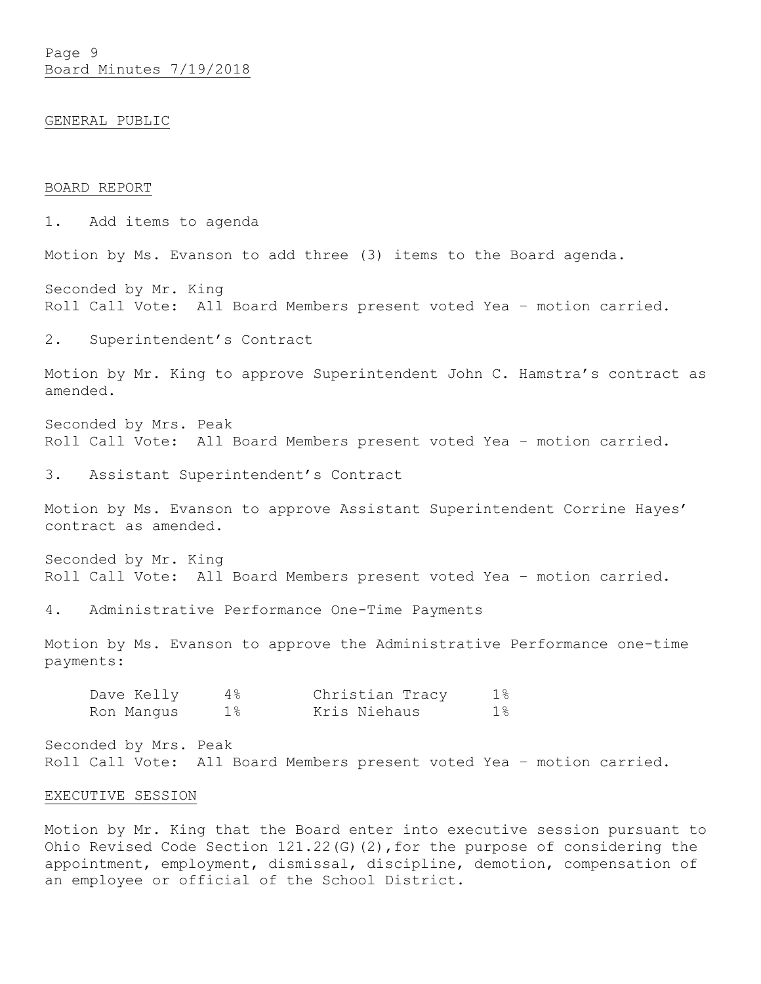Page 9 Board Minutes 7/19/2018

#### GENERAL PUBLIC

#### BOARD REPORT

1. Add items to agenda

Motion by Ms. Evanson to add three (3) items to the Board agenda.

Seconded by Mr. King Roll Call Vote: All Board Members present voted Yea – motion carried.

2. Superintendent's Contract

Motion by Mr. King to approve Superintendent John C. Hamstra's contract as amended.

Seconded by Mrs. Peak Roll Call Vote: All Board Members present voted Yea – motion carried.

3. Assistant Superintendent's Contract

Motion by Ms. Evanson to approve Assistant Superintendent Corrine Hayes' contract as amended.

Seconded by Mr. King Roll Call Vote: All Board Members present voted Yea – motion carried.

4. Administrative Performance One-Time Payments

Motion by Ms. Evanson to approve the Administrative Performance one-time payments:

| Dave Kelly | 4 %        | Christian Tracy | $1\,$ |
|------------|------------|-----------------|-------|
| Ron Manqus | $1\,$ $\,$ | Kris Niehaus    | 18    |

Seconded by Mrs. Peak Roll Call Vote: All Board Members present voted Yea – motion carried.

#### EXECUTIVE SESSION

Motion by Mr. King that the Board enter into executive session pursuant to Ohio Revised Code Section 121.22(G)(2),for the purpose of considering the appointment, employment, dismissal, discipline, demotion, compensation of an employee or official of the School District.